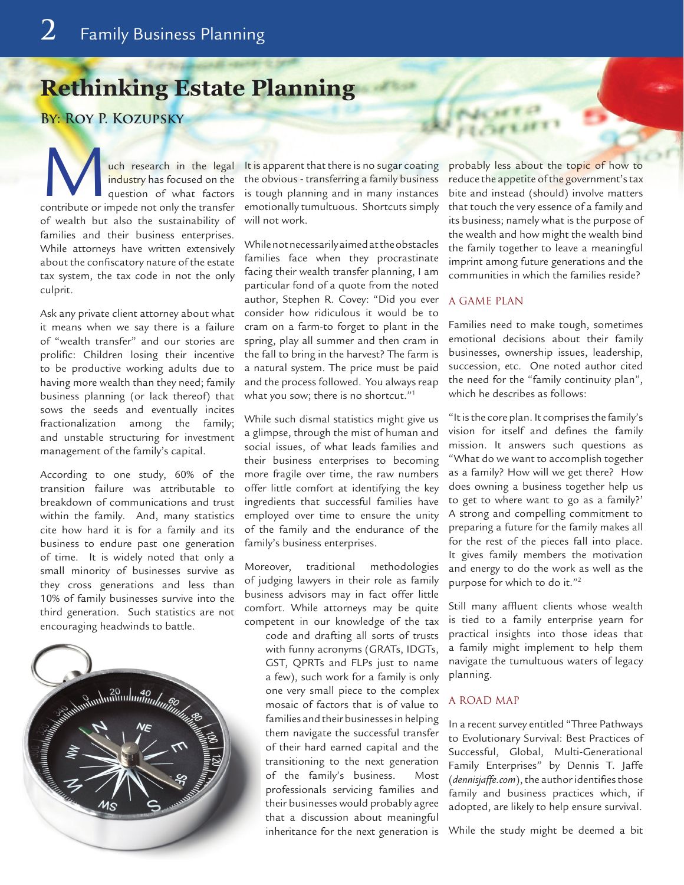# **Rethinking Estate Planning**

**By: Roy P. Kozupsky**

**Much research in the legal industry has focused on the question of what factors** contribute or impede not only the transfer industry has focused on the question of what factors of wealth but also the sustainability of families and their business enterprises. While attorneys have written extensively about the confiscatory nature of the estate tax system, the tax code in not the only culprit.

Ask any private client attorney about what it means when we say there is a failure of "wealth transfer" and our stories are prolific: Children losing their incentive to be productive working adults due to having more wealth than they need; family business planning (or lack thereof) that sows the seeds and eventually incites fractionalization among the family; and unstable structuring for investment management of the family's capital.

According to one study, 60% of the transition failure was attributable to breakdown of communications and trust within the family. And, many statistics cite how hard it is for a family and its business to endure past one generation of time. It is widely noted that only a small minority of businesses survive as they cross generations and less than 10% of family businesses survive into the third generation. Such statistics are not encouraging headwinds to battle.



It is apparent that there is no sugar coating the obvious - transferring a family business is tough planning and in many instances emotionally tumultuous. Shortcuts simply will not work.

While not necessarily aimed at the obstacles families face when they procrastinate facing their wealth transfer planning, I am particular fond of a quote from the noted author, Stephen R. Covey: "Did you ever consider how ridiculous it would be to cram on a farm-to forget to plant in the spring, play all summer and then cram in the fall to bring in the harvest? The farm is a natural system. The price must be paid and the process followed. You always reap what you sow; there is no shortcut."<sup>1</sup>

While such dismal statistics might give us a glimpse, through the mist of human and social issues, of what leads families and their business enterprises to becoming more fragile over time, the raw numbers offer little comfort at identifying the key ingredients that successful families have employed over time to ensure the unity of the family and the endurance of the family's business enterprises.

Moreover, traditional methodologies of judging lawyers in their role as family business advisors may in fact offer little comfort. While attorneys may be quite competent in our knowledge of the tax code and drafting all sorts of trusts

with funny acronyms (GRATs, IDGTs, GST, QPRTs and FLPs just to name a few), such work for a family is only one very small piece to the complex mosaic of factors that is of value to families and their businesses in helping them navigate the successful transfer of their hard earned capital and the transitioning to the next generation of the family's business. Most professionals servicing families and their businesses would probably agree that a discussion about meaningful inheritance for the next generation is probably less about the topic of how to reduce the appetite of the government's tax bite and instead (should) involve matters that touch the very essence of a family and its business; namely what is the purpose of the wealth and how might the wealth bind the family together to leave a meaningful imprint among future generations and the communities in which the families reside?

#### A GAME PLAN

WEDERE

Families need to make tough, sometimes emotional decisions about their family businesses, ownership issues, leadership, succession, etc. One noted author cited the need for the "family continuity plan", which he describes as follows:

"It is the core plan. It comprises the family's vision for itself and defines the family mission. It answers such questions as "What do we want to accomplish together as a family? How will we get there? How does owning a business together help us to get to where want to go as a family?' A strong and compelling commitment to preparing a future for the family makes all for the rest of the pieces fall into place. It gives family members the motivation and energy to do the work as well as the purpose for which to do it."2

Still many affluent clients whose wealth is tied to a family enterprise yearn for practical insights into those ideas that a family might implement to help them navigate the tumultuous waters of legacy planning.

# A ROAD MAP

In a recent survey entitled "Three Pathways to Evolutionary Survival: Best Practices of Successful, Global, Multi-Generational Family Enterprises" by Dennis T. Jaffe (*dennisjaffe.com*), the author identifies those family and business practices which, if adopted, are likely to help ensure survival.

While the study might be deemed a bit